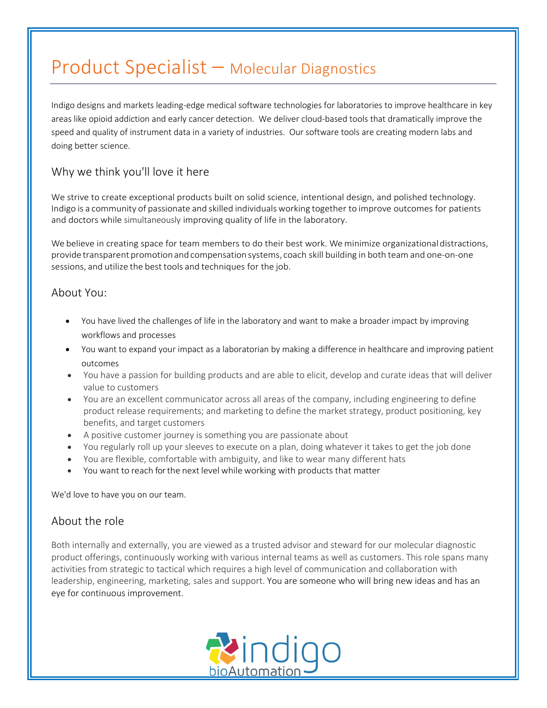# Product Specialist – Molecular Diagnostics

Indigo designs and markets leading-edge medical software technologies for laboratories to improve healthcare in key areas like opioid addiction and early cancer detection. We deliver cloud-based tools that dramatically improve the speed and quality of instrument data in a variety of industries. Our software tools are creating modern labs and doing better science.

## Why we think you'll love it here

We strive to create exceptional products built on solid science, intentional design, and polished technology. Indigo is a community of passionate and skilled individualsworking together to improve outcomes for patients and doctors while simultaneously improving quality of life in the laboratory.

We believe in creating space for team members to do their best work. We minimize organizational distractions, provide transparent promotion and compensation systems, coach skill building in both team and one-on-one sessions, and utilize the best tools and techniques for the job.

### About You:

- You have lived the challenges of life in the laboratory and want to make a broader impact by improving workflows and processes
- You want to expand your impact as a laboratorian by making a difference in healthcare and improving patient outcomes
- You have a passion for building products and are able to elicit, develop and curate ideas that will deliver value to customers
- You are an excellent communicator across all areas of the company, including engineering to define product release requirements; and marketing to define the market strategy, product positioning, key benefits, and target customers
- A positive customer journey is something you are passionate about
- You regularly roll up your sleeves to execute on a plan, doing whatever it takes to get the job done
- You are flexible, comfortable with ambiguity, and like to wear many different hats
- You want to reach for the next level while working with products that matter

We'd love to have you on our team.

## About the role

Both internally and externally, you are viewed as a trusted advisor and steward for our molecular diagnostic product offerings, continuously working with various internal teams as well as customers. This role spans many activities from strategic to tactical which requires a high level of communication and collaboration with leadership, engineering, marketing, sales and support. You are someone who will bring new ideas and has an eye for continuous improvement.

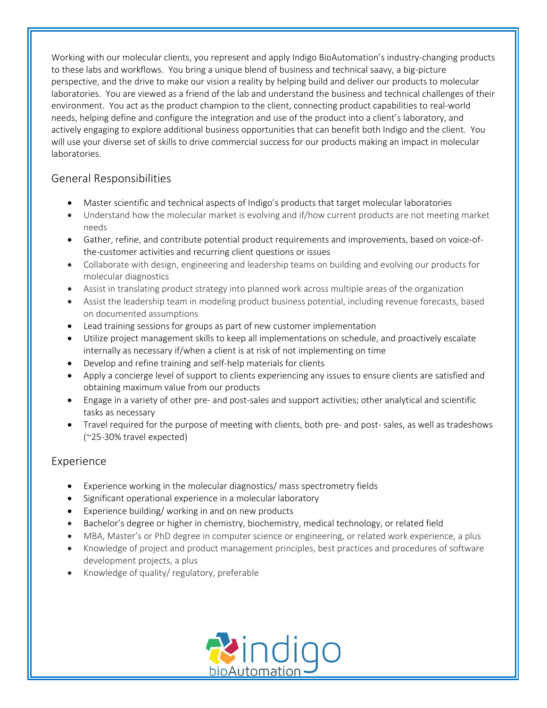Working with our molecular clients, you represent and apply Indigo BioAutomation's industry-changing products to these labs and workflows. You bring a unique blend of business and technical saavy, a big-picture perspective, and the drive to make our vision a reality by helping build and deliver our products to molecular laboratories. You are viewed as a friend of the lab and understand the business and technical challenges of their environment. You act as the product champion to the client, connecting product capabilities to real-world needs, helping define and configure the integration and use of the product into a client's laboratory, and actively engaging to explore additional business opportunities that can benefit both Indigo and the client. You will use your diverse set of skills to drive commercial success for our products making an impact in molecular laboratories.

## General Responsibilities

- Master scientific and technical aspects of Indigo's products that target molecular laboratories
- Understand how the molecular market is evolving and if/how current products are not meeting market needs
- Gather, refine, and contribute potential product requirements and improvements, based on voice-ofthe-customer activities and recurring client questions or issues
- Collaborate with design, engineering and leadership teams on building and evolving our products for molecular diagnostics
- Assist in translating product strategy into planned work across multiple areas of the organization
- Assist the leadership team in modeling product business potential, including revenue forecasts, based on documented assumptions
- Lead training sessions for groups as part of new customer implementation
- Utilize project management skills to keep all implementations on schedule, and proactively escalate internally as necessary if/when a client is at risk of not implementing on time
- Develop and refine training and self-help materials for clients
- Apply a concierge level of support to clients experiencing any issues to ensure clients are satisfied and obtaining maximum value from our products
- Engage in a variety of other pre- and post-sales and support activities; other analytical and scientific tasks as necessary
- Travel required for the purpose of meeting with clients, both pre- and post- sales, as well as tradeshows (~25-30% travel expected)

## Experience

- Experience working in the molecular diagnostics/ mass spectrometry fields
- Significant operational experience in a molecular laboratory
- Experience building/ working in and on new products
- Bachelor's degree or higher in chemistry, biochemistry, medical technology, or related field
- MBA, Master's or PhD degree in computer science or engineering, or related work experience, a plus
- Knowledge of project and product management principles, best practices and procedures of software development projects, a plus
- Knowledge of quality/ regulatory, preferable